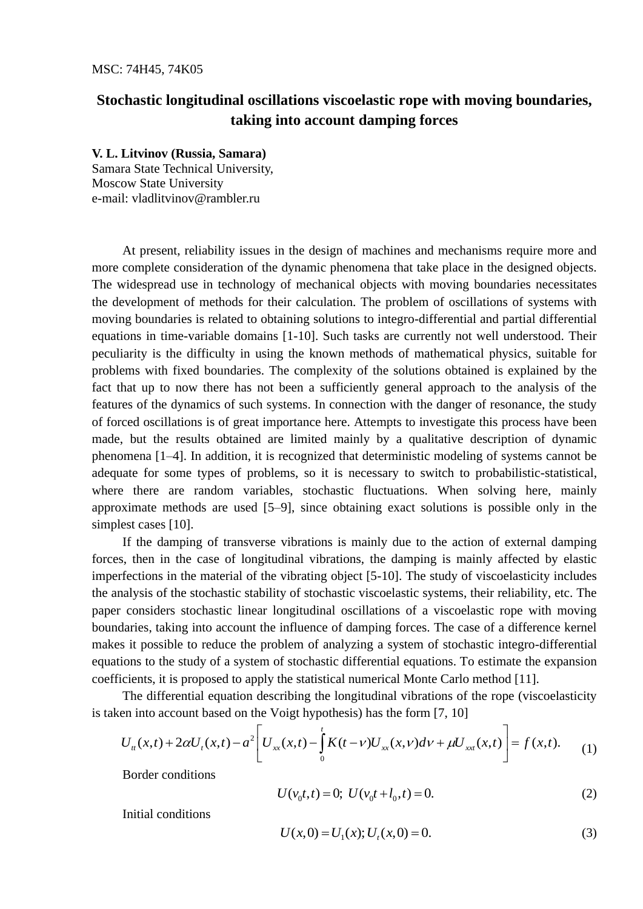## **Stochastic longitudinal oscillations viscoelastic rope with moving boundaries, taking into account damping forces**

## **V. L. Litvinov (Russia, Samara)**

Samara State Technical University, Moscow State University e-mail: vladlitvinov@rambler.ru

At present, reliability issues in the design of machines and mechanisms require more and more complete consideration of the dynamic phenomena that take place in the designed objects. The widespread use in technology of mechanical objects with moving boundaries necessitates the development of methods for their calculation. The problem of oscillations of systems with moving boundaries is related to obtaining solutions to integro-differential and partial differential equations in time-variable domains [1-10]. Such tasks are currently not well understood. Their peculiarity is the difficulty in using the known methods of mathematical physics, suitable for problems with fixed boundaries. The complexity of the solutions obtained is explained by the fact that up to now there has not been a sufficiently general approach to the analysis of the features of the dynamics of such systems. In connection with the danger of resonance, the study of forced oscillations is of great importance here. Attempts to investigate this process have been made, but the results obtained are limited mainly by a qualitative description of dynamic phenomena [1–4]. In addition, it is recognized that deterministic modeling of systems cannot be adequate for some types of problems, so it is necessary to switch to probabilistic-statistical, where there are random variables, stochastic fluctuations. When solving here, mainly approximate methods are used [5–9], since obtaining exact solutions is possible only in the simplest cases [10].

If the damping of transverse vibrations is mainly due to the action of external damping forces, then in the case of longitudinal vibrations, the damping is mainly affected by elastic imperfections in the material of the vibrating object [5-10]. The study of viscoelasticity includes the analysis of the stochastic stability of stochastic viscoelastic systems, their reliability, etc. The paper considers stochastic linear longitudinal oscillations of a viscoelastic rope with moving boundaries, taking into account the influence of damping forces. The case of a difference kernel makes it possible to reduce the problem of analyzing a system of stochastic integro-differential equations to the study of a system of stochastic differential equations. To estimate the expansion coefficients, it is proposed to apply the statistical numerical Monte Carlo method [11].

is taken into account based on the Voigt hypothesis) has the form [7, 10] ply the statistical numerical Monte Carlo method [11].<br>describing the longitudinal vibrations of the rope (viscoelasti<br>ne Voigt hypothesis) has the form [7, 10]<br> $\begin{bmatrix} U_{xx}(x,t) - \int K(t-v)U_{xx}(x,v)dv + \mu U_{xx}(x,t) \end{bmatrix} = f(x,t).$ 

The differential equation describing the longitudinal vibrations of the rope (viscoelasticity  
en into account based on the Voigt hypothesis) has the form [7, 10]  

$$
U_{tt}(x,t) + 2\alpha U_t(x,t) - a^2 \left[ U_{xx}(x,t) - \int_0^t K(t-v)U_{xx}(x,v)dv + \mu U_{xx}(x,t) \right] = f(x,t). \tag{1}
$$

Border conditions

$$
U(\nu_0 t, t) = 0; \ U(\nu_0 t + l_0, t) = 0.
$$
 (2)

Initial conditions

$$
U(x,0) = U_1(x); U_t(x,0) = 0.
$$
\n(3)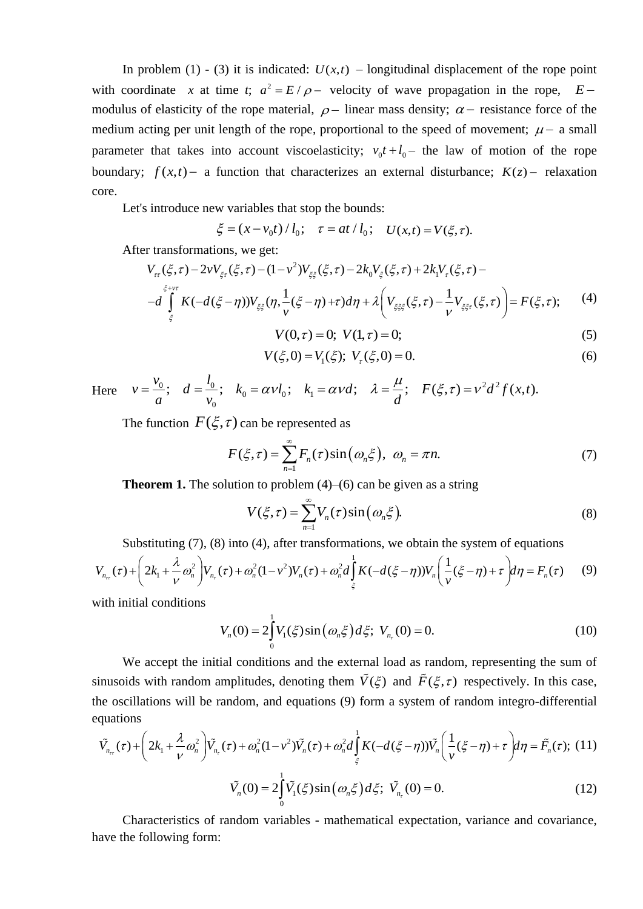In problem (1) - (3) it is indicated:  $U(x,t)$  – longitudinal displacement of the rope point with coordinate *x* at time *t*;  $a^2 = E/\rho$  velocity of wave propagation in the rope,  $E$ modulus of elasticity of the rope material,  $\rho$  – linear mass density;  $\alpha$  – resistance force of the medium acting per unit length of the rope, proportional to the speed of movement;  $\mu$  – a small parameter that takes into account viscoelasticity;  $v_0 t + l_0$  the law of motion of the rope boundary;  $f(x,t)$  – a function that characterizes an external disturbance;  $K(z)$  – relaxation core.

Let's introduce new variables that stop the bounds:

$$
\xi = (x - v_0 t) / l_0; \quad \tau = at / l_0; \quad U(x, t) = V(\xi, \tau).
$$

$$
\xi = (x - v_0 t) / l_0; \quad \tau = at / l_0; \quad U(x, t) = V(\xi, \tau).
$$
  
After transformations, we get:  

$$
V_{\tau\tau}(\xi, \tau) - 2v V_{\xi\tau}(\xi, \tau) - (1 - v^2) V_{\xi\xi}(\xi, \tau) - 2k_0 V_{\xi}(\xi, \tau) + 2k_1 V_{\tau}(\xi, \tau) -
$$

$$
-d \int_{\xi}^{\xi + v\tau} K(-d(\xi - \eta)) V_{\xi\xi}(\eta, \frac{1}{v}(\xi - \eta) + \tau) d\eta + \lambda \left( V_{\xi\xi\xi}(\xi, \tau) - \frac{1}{v} V_{\xi\xi\tau}(\xi, \tau) \right) = F(\xi, \tau); \tag{4}
$$

$$
V(0, \tau) = 0; \ V(1, \tau) = 0; \tag{5}
$$

$$
V(\xi,0) = V_1(\xi); \ V_{\tau}(\xi,0) = 0.
$$
 (6)

$$
V(0, \tau) = 0; \ V(1, \tau) = 0;
$$
  
\n
$$
V(\xi, 0) = V_1(\xi); \ V_\tau(\xi, 0) = 0.
$$
  
\nHere  $v = \frac{v_0}{a}; \ d = \frac{l_0}{v_0}; \ k_0 = \alpha v l_0; \ k_1 = \alpha v d; \ \lambda = \frac{\mu}{d}; \ F(\xi, \tau) = v^2 d^2 f(x, t).$ 

The function  $F(\xi, \tau)$  can be represented as

$$
F(\xi,\tau) = \sum_{n=1}^{\infty} F_n(\tau) \sin(\omega_n \xi), \ \omega_n = \pi n. \tag{7}
$$

**Theorem 1.** The solution to problem  $(4)$ – $(6)$  can be given as a string

$$
V(\xi,\tau) = \sum_{n=1}^{\infty} V_n(\tau) \sin(\omega_n \xi).
$$
 (8)

$$
V(\xi, \tau) = \sum_{n=1}^{n} V_n(\tau) \sin(\omega_n \xi).
$$
\nSubstituting (7), (8) into (4), after transformations, we obtain the system of equations

\n
$$
V_{n_{\tau}}(\tau) + \left(2k_1 + \frac{\lambda}{\nu} \omega_n^2\right) V_{n_{\tau}}(\tau) + \omega_n^2 (1 - \nu^2) V_n(\tau) + \omega_n^2 d \int_{\xi}^1 K(-d(\xi - \eta)) V_n\left(\frac{1}{\nu}(\xi - \eta) + \tau\right) d\eta = F_n(\tau)
$$
\n(9)

with initial conditions

$$
V_n(0) = 2 \int_0^1 V_1(\xi) \sin(\omega_n \xi) d\xi; \ V_{n_r}(0) = 0.
$$
 (10)

We accept the initial conditions and the external load as random, representing the sum of sinusoids with random amplitudes, denoting them  $\tilde{V}(\xi)$  and  $\tilde{F}(\xi,\tau)$  respectively. In this case, the oscillations will be random, and equations (9) form a system of random integro-differential equations inusoids with random amplitudes, denoting them  $V(\xi)$  and  $F(\xi, \tau)$  respectively. In this case,<br>ne oscillations will be random, and equations (9) form a system of random integro-differential<br>quations<br> $\tilde{V}_{n_{\text{rt}}}(\tau) + \left($ 

equations  
\n
$$
\tilde{V}_{n_{\pi}}(\tau) + \left(2k_1 + \frac{\lambda}{\nu}\omega_n^2\right)\tilde{V}_{n_{\tau}}(\tau) + \omega_n^2(1-\nu^2)\tilde{V}_n(\tau) + \omega_n^2d\int_{\xi}^1 K(-d(\xi-\eta))\tilde{V}_n\left(\frac{1}{\nu}(\xi-\eta) + \tau\right)d\eta = \tilde{F}_n(\tau); \text{ (11)}
$$

$$
\tilde{V}_n(0) = 2 \int_0^1 \tilde{V}_1(\xi) \sin(\omega_n \xi) d\xi; \ \tilde{V}_{n_r}(0) = 0.
$$
\n(12)

Characteristics of random variables - mathematical expectation, variance and covariance, have the following form: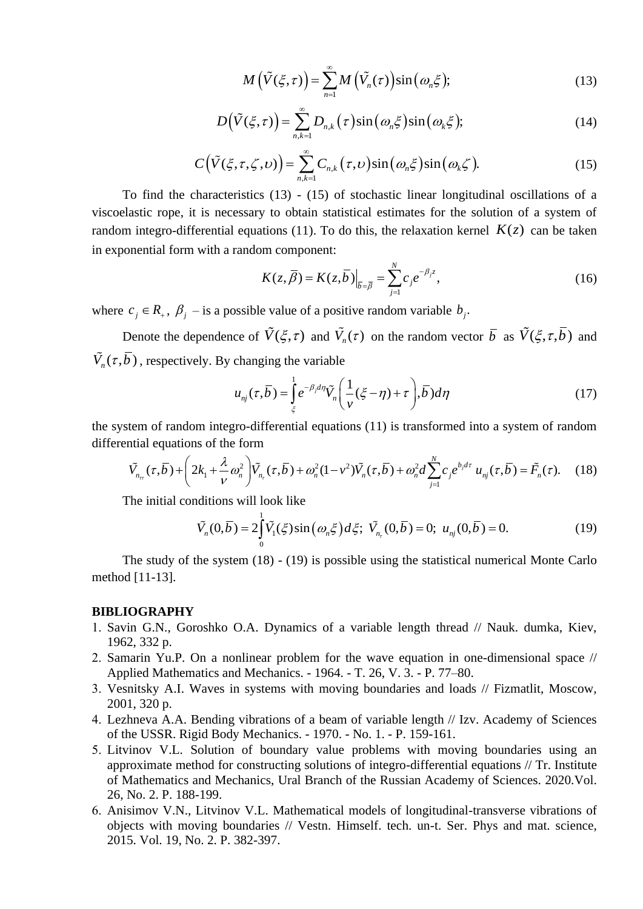$$
M(\tilde{V}(\xi,\tau)) = \sum_{n=1}^{\infty} M(\tilde{V}_n(\tau)) \sin(\omega_n \xi); \qquad (13)
$$

$$
D(\tilde{V}(\xi,\tau)) = \sum_{n,k=1}^{\infty} D_{n,k}(\tau) \sin(\omega_n \xi) \sin(\omega_k \xi); \qquad (14)
$$

$$
C(\tilde{V}(\xi,\tau,\zeta,\nu)) = \sum_{n,k=1}^{\infty} C_{n,k}(\tau,\nu) \sin(\omega_n \xi) \sin(\omega_k \zeta).
$$
 (15)

To find the characteristics (13) - (15) of stochastic linear longitudinal oscillations of a viscoelastic rope, it is necessary to obtain statistical estimates for the solution of a system of random integro-differential equations (11). To do this, the relaxation kernel  $K(z)$  can be taken in exponential form with a random component:

$$
K(z,\overline{\beta}) = K(z,\overline{b})\Big|_{\overline{b} = \overline{\beta}} = \sum_{j=1}^{N} c_j e^{-\beta_j z},
$$
\n(16)

where  $c_j \in R_+$ ,  $\beta_j$  – is a possible value of a positive random variable  $b_j$ .

Denote the dependence of  $\hat{V}(\xi, \tau)$  and  $\hat{V}_n(\tau)$  on the random vector  $\bar{b}$  as  $\hat{V}(\xi, \tau, b)$  and  $\tilde{V}_n(\tau, b)$ , respectively. By changing the variable

changing the variable  

$$
u_{nj}(\tau,\overline{b}) = \int_{\xi}^{1} e^{-\beta_j d\eta} \tilde{V}_n\left(\frac{1}{\nu}(\xi-\eta)+\tau\right), \overline{b}) d\eta
$$
(17)

differential equations of the form

the system of random integro-differential equations (11) is transformed into a system of random differential equations of the form  
\n
$$
\tilde{V}_{n_{\pi}}(\tau,\overline{b}) + \left(2k_1 + \frac{\lambda}{\nu}\omega_n^2\right)\tilde{V}_{n_{\tau}}(\tau,\overline{b}) + \omega_n^2(1-\nu^2)\tilde{V}_n(\tau,\overline{b}) + \omega_n^2d\sum_{j=1}^N c_j e^{b_j d\tau} u_{nj}(\tau,\overline{b}) = \tilde{F}_n(\tau). \quad (18)
$$

The initial conditions will look like

dditions will look like  
\n
$$
\tilde{V}_n(0,\overline{b}) = 2 \int_0^1 \tilde{V}_1(\xi) \sin(\omega_n \xi) d\xi; \ \tilde{V}_{n_r}(0,\overline{b}) = 0; \ u_{nj}(0,\overline{b}) = 0.
$$
\n(19)

The study of the system (18) - (19) is possible using the statistical numerical Monte Carlo method [11-13].

## **BIBLIOGRAPHY**

- 1. Savin G.N., Goroshko O.A. Dynamics of a variable length thread // Nauk. dumka, Kiev, 1962, 332 p.
- 2. Samarin Yu.P. On a nonlinear problem for the wave equation in one-dimensional space // Applied Mathematics and Mechanics. - 1964. - T. 26, V. 3. - P. 77–80.
- Vesnitsky A.I. Waves in systems with moving boundaries and loads // Fizmatlit, Moscow, 2001, 320 p.
- Lezhneva A.A. Bending vibrations of a beam of variable length // Izv. Academy of Sciences of the USSR. Rigid Body Mechanics. - 1970. - No. 1. - P. 159-161.
- Litvinov V.L. Solution of boundary value problems with moving boundaries using an approximate method for constructing solutions of integro-differential equations // Tr. Institute of Mathematics and Mechanics, Ural Branch of the Russian Academy of Sciences. 2020.Vol. 26, No. 2. P. 188-199.
- Anisimov V.N., Litvinov V.L. Mathematical models of longitudinal-transverse vibrations of objects with moving boundaries // Vestn. Himself. tech. un-t. Ser. Phys and mat. science, 2015. Vol. 19, No. 2. P. 382-397.